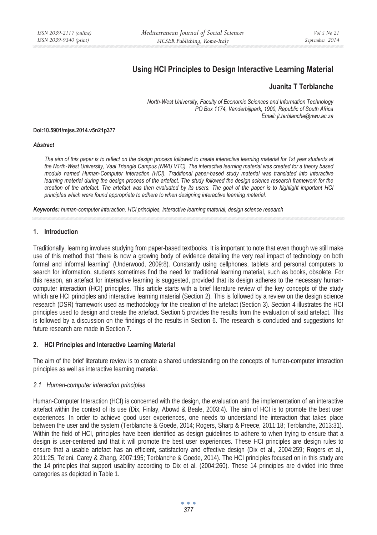# **Using HCI Principles to Design Interactive Learning Material**

# **Juanita T Terblanche**

*North-West University, Faculty of Economic Sciences and Information Technology PO Box 1174, Vanderbijlpark, 1900, Republic of South Africa Email: jt.terblanche@nwu.ac.za* 

#### **Doi:10.5901/mjss.2014.v5n21p377**

#### *Abstract*

*The aim of this paper is to reflect on the design process followed to create interactive learning material for 1st year students at the North-West University, Vaal Triangle Campus (NWU VTC). The interactive learning material was created for a theory based module named Human-Computer Interaction (HCI). Traditional paper-based study material was translated into interactive*  learning material during the design process of the artefact. The study followed the design science research framework for the *creation of the artefact. The artefact was then evaluated by its users. The goal of the paper is to highlight important HCI principles which were found appropriate to adhere to when designing interactive learning material.* 

*Keywords: human-computer interaction, HCI principles, interactive learning material, design science research*

### **1. Introduction**

Traditionally, learning involves studying from paper-based textbooks. It is important to note that even though we still make use of this method that "there is now a growing body of evidence detailing the very real impact of technology on both formal and informal learning" (Underwood, 2009:8). Constantly using cellphones, tablets and personal computers to search for information, students sometimes find the need for traditional learning material, such as books, obsolete. For this reason, an artefact for interactive learning is suggested, provided that its design adheres to the necessary humancomputer interaction (HCI) principles. This article starts with a brief literature review of the key concepts of the study which are HCI principles and interactive learning material (Section 2). This is followed by a review on the design science research (DSR) framework used as methodology for the creation of the artefact (Section 3). Section 4 illustrates the HCI principles used to design and create the artefact. Section 5 provides the results from the evaluation of said artefact. This is followed by a discussion on the findings of the results in Section 6. The research is concluded and suggestions for future research are made in Section 7.

### **2. HCI Principles and Interactive Learning Material**

The aim of the brief literature review is to create a shared understanding on the concepts of human-computer interaction principles as well as interactive learning material.

### *2.1 Human-computer interaction principles*

Human-Computer Interaction (HCI) is concerned with the design, the evaluation and the implementation of an interactive artefact within the context of its use (Dix, Finlay, Abowd & Beale, 2003:4). The aim of HCI is to promote the best user experiences. In order to achieve good user experiences, one needs to understand the interaction that takes place between the user and the system (Terblanche & Goede, 2014; Rogers, Sharp & Preece, 2011:18; Terblanche, 2013:31). Within the field of HCI, principles have been identified as design guidelines to adhere to when trying to ensure that a design is user-centered and that it will promote the best user experiences. These HCI principles are design rules to ensure that a usable artefact has an efficient, satisfactory and effective design (Dix et al., 2004:259; Rogers et al., 2011:25, Te'eni, Carey & Zhang, 2007:195; Terblanche & Goede, 2014). The HCI principles focused on in this study are the 14 principles that support usability according to Dix et al. (2004:260). These 14 principles are divided into three categories as depicted in Table 1.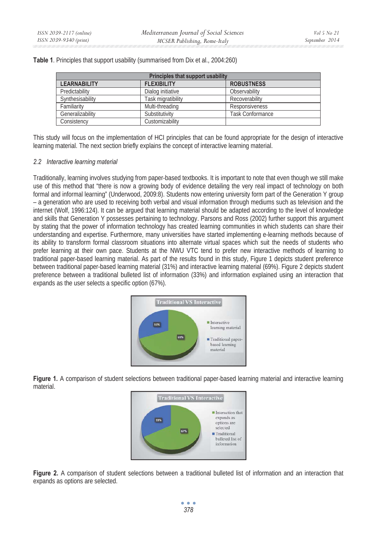| Principles that support usability |                    |                   |  |
|-----------------------------------|--------------------|-------------------|--|
| <b>LEARNABILITY</b>               | <b>FLEXIBILITY</b> | <b>ROBUSTNESS</b> |  |
| Predictability                    | Dialog initiative  | Observability     |  |
| Synthesisability                  | Task migratibility | Recoverability    |  |
| Familiarity                       | Multi-threading    | Responsiveness    |  |
| Generalizability                  | Substitutivity     | Task Conformance  |  |
| Consistency                       | Customizability    |                   |  |

**Table 1**. Principles that support usability (summarised from Dix et al., 2004:260)

This study will focus on the implementation of HCI principles that can be found appropriate for the design of interactive learning material. The next section briefly explains the concept of interactive learning material.

### *2.2 Interactive learning material*

Traditionally, learning involves studying from paper-based textbooks. It is important to note that even though we still make use of this method that "there is now a growing body of evidence detailing the very real impact of technology on both formal and informal learning" (Underwood, 2009:8). Students now entering university form part of the Generation Y group – a generation who are used to receiving both verbal and visual information through mediums such as television and the internet (Wolf, 1996:124). It can be argued that learning material should be adapted according to the level of knowledge and skills that Generation Y possesses pertaining to technology. Parsons and Ross (2002) further support this argument by stating that the power of information technology has created learning communities in which students can share their understanding and expertise. Furthermore, many universities have started implementing e-learning methods because of its ability to transform formal classroom situations into alternate virtual spaces which suit the needs of students who prefer learning at their own pace. Students at the NWU VTC tend to prefer new interactive methods of learning to traditional paper-based learning material. As part of the results found in this study, Figure 1 depicts student preference between traditional paper-based learning material (31%) and interactive learning material (69%). Figure 2 depicts student preference between a traditional bulleted list of information (33%) and information explained using an interaction that expands as the user selects a specific option (67%).



**Figure 1.** A comparison of student selections between traditional paper-based learning material and interactive learning material.



**Figure 2.** A comparison of student selections between a traditional bulleted list of information and an interaction that expands as options are selected.

> $\bullet$   $\bullet$   $\bullet$ *378*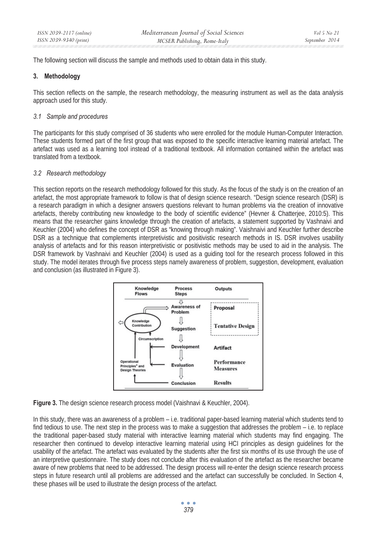The following section will discuss the sample and methods used to obtain data in this study.

### **3. Methodology**

This section reflects on the sample, the research methodology, the measuring instrument as well as the data analysis approach used for this study.

### *3.1 Sample and procedures*

The participants for this study comprised of 36 students who were enrolled for the module Human-Computer Interaction. These students formed part of the first group that was exposed to the specific interactive learning material artefact. The artefact was used as a learning tool instead of a traditional textbook. All information contained within the artefact was translated from a textbook.

### *3.2 Research methodology*

This section reports on the research methodology followed for this study. As the focus of the study is on the creation of an artefact, the most appropriate framework to follow is that of design science research. "Design science research (DSR) is a research paradigm in which a designer answers questions relevant to human problems via the creation of innovative artefacts, thereby contributing new knowledge to the body of scientific evidence" (Hevner & Chatterjee, 2010:5). This means that the researcher gains knowledge through the creation of artefacts, a statement supported by Vashnaivi and Keuchler (2004) who defines the concept of DSR as "knowing through making". Vaishnaivi and Keuchler further describe DSR as a technique that complements interpretivistic and positivistic research methods in IS. DSR involves usability analysis of artefacts and for this reason interpretivistic or positivistic methods may be used to aid in the analysis. The DSR framework by Vashnaivi and Keuchler (2004) is used as a guiding tool for the research process followed in this study. The model iterates through five process steps namely awareness of problem, suggestion, development, evaluation and conclusion (as illustrated in Figure 3).



Figure 3. The design science research process model (Vaishnavi & Keuchler, 2004).

In this study, there was an awareness of a problem – i.e. traditional paper-based learning material which students tend to find tedious to use. The next step in the process was to make a suggestion that addresses the problem – i.e. to replace the traditional paper-based study material with interactive learning material which students may find engaging. The researcher then continued to develop interactive learning material using HCI principles as design guidelines for the usability of the artefact. The artefact was evaluated by the students after the first six months of its use through the use of an interpretive questionnaire. The study does not conclude after this evaluation of the artefact as the researcher became aware of new problems that need to be addressed. The design process will re-enter the design science research process steps in future research until all problems are addressed and the artefact can successfully be concluded. In Section 4, these phases will be used to illustrate the design process of the artefact.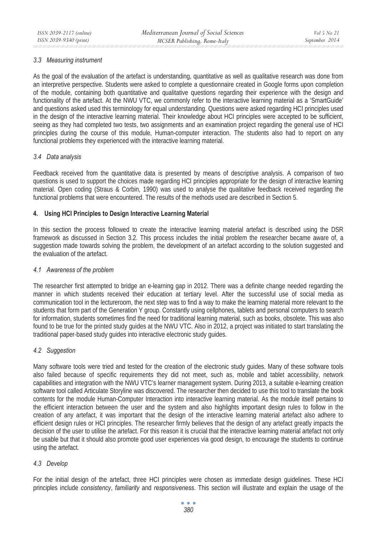### *3.3 Measuring instrument*

As the goal of the evaluation of the artefact is understanding, quantitative as well as qualitative research was done from an interpretive perspective. Students were asked to complete a questionnaire created in Google forms upon completion of the module, containing both quantitative and qualitative questions regarding their experience with the design and functionality of the artefact. At the NWU VTC, we commonly refer to the interactive learning material as a 'SmartGuide' and questions asked used this terminology for equal understanding. Questions were asked regarding HCI principles used in the design of the interactive learning material. Their knowledge about HCI principles were accepted to be sufficient, seeing as they had completed two tests, two assignments and an examination project regarding the general use of HCI principles during the course of this module, Human-computer interaction. The students also had to report on any functional problems they experienced with the interactive learning material.

### *3.4 Data analysis*

Feedback received from the quantitative data is presented by means of descriptive analysis. A comparison of two questions is used to support the choices made regarding HCI principles appropriate for the design of interactive learning material. Open coding (Straus & Corbin, 1990) was used to analyse the qualitative feedback received regarding the functional problems that were encountered. The results of the methods used are described in Section 5.

### **4. Using HCI Principles to Design Interactive Learning Material**

In this section the process followed to create the interactive learning material artefact is described using the DSR framework as discussed in Section 3.2. This process includes the initial problem the researcher became aware of, a suggestion made towards solving the problem, the development of an artefact according to the solution suggested and the evaluation of the artefact.

### *4.1 Awareness of the problem*

The researcher first attempted to bridge an e-learning gap in 2012. There was a definite change needed regarding the manner in which students received their education at tertiary level. After the successful use of social media as communication tool in the lectureroom, the next step was to find a way to make the learning material more relevant to the students that form part of the Generation Y group. Constantly using cellphones, tablets and personal computers to search for information, students sometimes find the need for traditional learning material, such as books, obsolete. This was also found to be true for the printed study guides at the NWU VTC. Also in 2012, a project was initiated to start translating the traditional paper-based study guides into interactive electronic study guides.

### *4.2 Suggestion*

Many software tools were tried and tested for the creation of the electronic study guides. Many of these software tools also failed because of specific requirements they did not meet, such as, mobile and tablet accessibility, network capabilities and integration with the NWU VTC's learner management system. During 2013, a suitable e-learning creation software tool called Articulate Storyline was discovered. The researcher then decided to use this tool to translate the book contents for the module Human-Computer Interaction into interactive learning material. As the module itself pertains to the efficient interaction between the user and the system and also highlights important design rules to follow in the creation of any artefact, it was important that the design of the interactive learning material artefact also adhere to efficient design rules or HCI principles. The researcher firmly believes that the design of any artefact greatly impacts the decision of the user to utilise the artefact. For this reason it is crucial that the interactive learning material artefact not only be usable but that it should also promote good user experiences via good design, to encourage the students to continue using the artefact.

### *4.3 Develop*

For the initial design of the artefact, three HCI principles were chosen as immediate design guidelines. These HCI principles include *consistency*, *familiarity* and *responsiveness*. This section will illustrate and explain the usage of the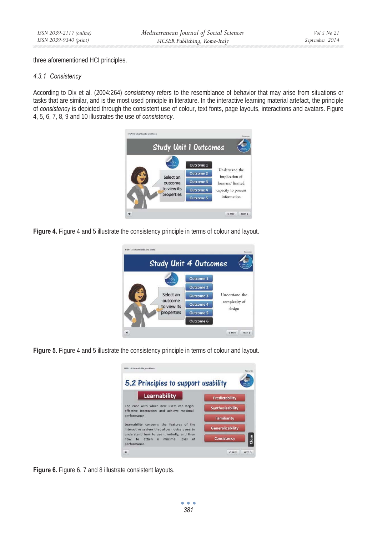three aforementioned HCI principles.

### *4.3.1 Consistency*

According to Dix et al. (2004:264) *consistency* refers to the resemblance of behavior that may arise from situations or tasks that are similar, and is the most used principle in literature. In the interactive learning material artefact, the principle of *consistency* is depicted through the consistent use of colour, text fonts, page layouts, interactions and avatars. Figure 4, 5, 6, 7, 8, 9 and 10 illustrates the use of *consistency*.



**Figure 4.** Figure 4 and 5 illustrate the consistency principle in terms of colour and layout.



**Figure 5.** Figure 4 and 5 illustrate the consistency principle in terms of colour and layout.



**Figure 6.** Figure 6, 7 and 8 illustrate consistent layouts.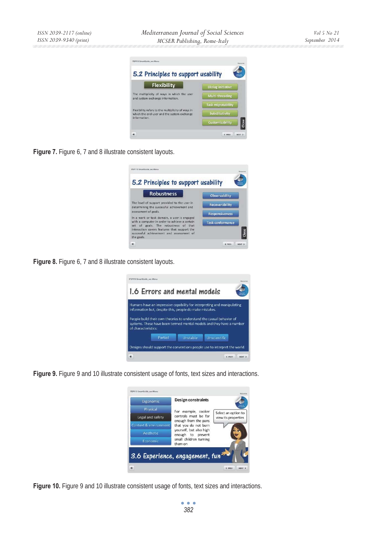

**Figure 7.** Figure 6, 7 and 8 illustrate consistent layouts.



**Figure 8.** Figure 6, 7 and 8 illustrate consistent layouts.



**Figure 9.** Figure 9 and 10 illustrate consistent usage of fonts, text sizes and interactions.



Figure 10. Figure 9 and 10 illustrate consistent usage of fonts, text sizes and interactions.

 $\bullet$   $\bullet$   $\bullet$ *382*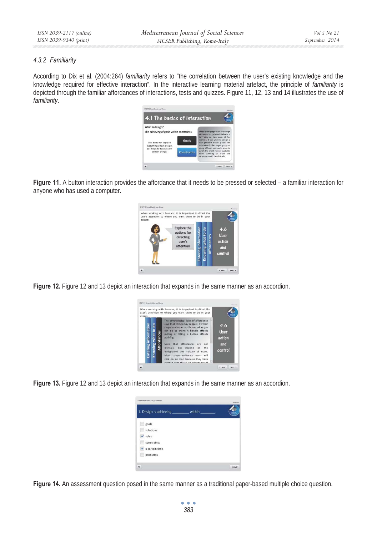### *4.3.2 Familiarity*

According to Dix et al. (2004:264) *familiarity* refers to "the correlation between the user's existing knowledge and the knowledge required for effective interaction". In the interactive learning material artefact, the principle of *familiarity* is depicted through the familiar affordances of interactions, tests and quizzes. Figure 11, 12, 13 and 14 illustrates the use of *familiarity*.



**Figure 11.** A button interaction provides the affordance that it needs to be pressed or selected – a familiar interaction for anyone who has used a computer.



**Figure 12.** Figure 12 and 13 depict an interaction that expands in the same manner as an accordion.



**Figure 13.** Figure 12 and 13 depict an interaction that expands in the same manner as an accordion.



Figure 14. An assessment question posed in the same manner as a traditional paper-based multiple choice question.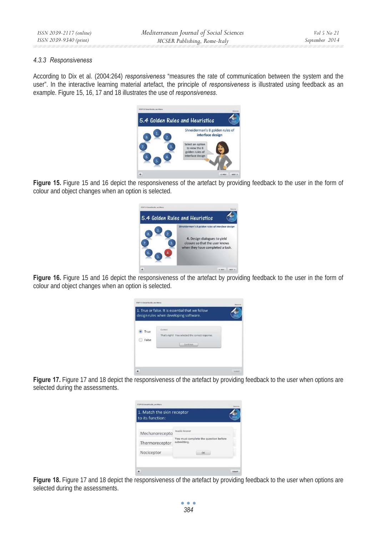### *4.3.3 Responsiveness*

According to Dix et al. (2004:264) *responsiveness* "measures the rate of communication between the system and the user". In the interactive learning material artefact, the principle of *responsiveness* is illustrated using feedback as an example. Figure 15, 16, 17 and 18 illustrates the use of *responsiveness*.



**Figure 15.** Figure 15 and 16 depict the responsiveness of the artefact by providing feedback to the user in the form of colour and object changes when an option is selected.



**Figure 16.** Figure 15 and 16 depict the responsiveness of the artefact by providing feedback to the user in the form of colour and object changes when an option is selected.



**Figure 17.** Figure 17 and 18 depict the responsiveness of the artefact by providing feedback to the user when options are selected during the assessments.

| 1. Match the skin receptor<br>to its function: |                                                                              |  |
|------------------------------------------------|------------------------------------------------------------------------------|--|
| Mechanorecepto<br>Thermoreceptor<br>Nociceptor | Invalid Answer<br>You must complete the question before<br>submitting.<br>OK |  |

**Figure 18.** Figure 17 and 18 depict the responsiveness of the artefact by providing feedback to the user when options are selected during the assessments.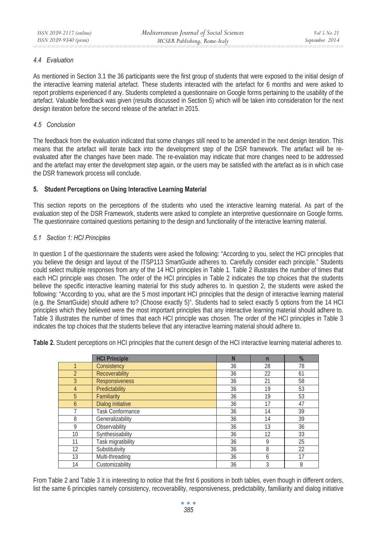### *4.4 Evaluation*

As mentioned in Section 3.1 the 36 participants were the first group of students that were exposed to the initial design of the interactive learning material artefact. These students interacted with the artefact for 6 months and were asked to report problems experienced if any. Students completed a questionnaire on Google forms pertaining to the usability of the artefact. Valuable feedback was given (results discussed in Section 5) which will be taken into consideration for the next design iteration before the second release of the artefact in 2015.

### *4.5 Conclusion*

The feedback from the evaluation indicated that some changes still need to be amended in the next design iteration. This means that the artefact will iterate back into the development step of the DSR framework. The artefact will be reevaluated after the changes have been made. The re-evalation may indicate that more changes need to be addressed and the artefact may enter the development step again, or the users may be satisfied with the artefact as is in which case the DSR framework process will conclude.

# **5. Student Perceptions on Using Interactive Learning Material**

This section reports on the perceptions of the students who used the interactive learning material. As part of the evaluation step of the DSR Framework, students were asked to complete an interpretive questionnaire on Google forms. The questionnaire contained questions pertaining to the design and functionality of the interactive learning material.

# *5.1 Section 1: HCI Principles*

In question 1 of the questionnaire the students were asked the following: "According to you, select the HCI principles that you believe the design and layout of the ITSP113 SmartGuide adheres to. Carefully consider each principle." Students could select multiple responses from any of the 14 HCI principles in Table 1. Table 2 illustrates the number of times that each HCI principle was chosen. The order of the HCI principles in Table 2 indicates the top choices that the students believe the specific interactive learning material for this study adheres to. In question 2, the students were asked the following: "According to you, what are the 5 most important HCI principles that the design of interactive learning material (e.g. the SmartGuide) should adhere to? (Choose exactly 5)". Students had to select exactly 5 options from the 14 HCI principles which they believed were the most important principles that any interactive learning material should adhere to. Table 3 illustrates the number of times that each HCI principle was chosen. The order of the HCI principles in Table 3 indicates the top choices that the students believe that any interactive learning material should adhere to.

**Table 2.** Student perceptions on HCI principles that the current design of the HCI interactive learning material adheres to.

|               | <b>HCI Principle</b>    | N  | $\overline{n}$ | $\frac{0}{6}$ |
|---------------|-------------------------|----|----------------|---------------|
| 1             | Consistency             | 36 | 28             | 78            |
| $\mathcal{P}$ | Recoverability          | 36 | 22             | 61            |
| 3             | <b>Responsiveness</b>   | 36 | 21             | 58            |
| 4             | Predictability          | 36 | 19             | 53            |
| 5             | Familiarity             | 36 | 19             | 53            |
| 6             | Dialog initiative       | 36 | 17             | 47            |
|               | <b>Task Conformance</b> | 36 | 14             | 39            |
| 8             | Generalizability        | 36 | 14             | 39            |
| 9             | Observability           | 36 | 13             | 36            |
| 10            | Synthesisability        | 36 | 12             | 33            |
| 11            | Task migratibility      | 36 | 9              | 25            |
| 12            | Substitutivity          | 36 | 8              | 22            |
| 13            | Multi-threading         | 36 | 6              | 17            |
| 14            | Customizability         | 36 | 3              | 8             |

From Table 2 and Table 3 it is interesting to notice that the first 6 positions in both tables, even though in different orders, list the same 6 principles namely consistency, recoverability, responsiveness, predictability, familiarity and dialog initiative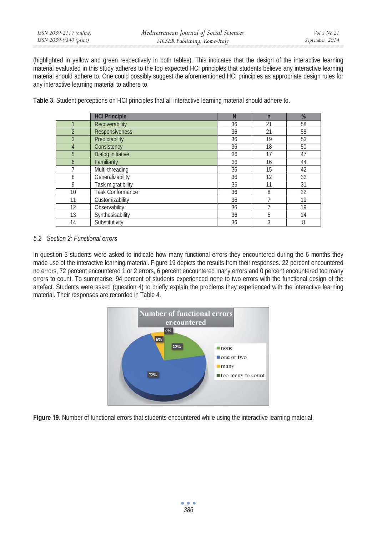| ISSN 2039-2117 (online) | Mediterranean Journal of Social Sciences | <i>Vol</i> 5 <i>No</i> 21 |
|-------------------------|------------------------------------------|---------------------------|
| ISSN 2039-9340 (print)  | MCSER Publishing, Rome-Italy             | September 2014            |

(highlighted in yellow and green respectively in both tables). This indicates that the design of the interactive learning material evaluated in this study adheres to the top expected HCI principles that students believe any interactive learning material should adhere to. One could possibly suggest the aforementioned HCI principles as appropriate design rules for any interactive learning material to adhere to.

|                 | <b>HCI Principle</b> | N  | n  | $\frac{9}{6}$ |
|-----------------|----------------------|----|----|---------------|
|                 | Recoverability       | 36 | 21 | 58            |
| $\overline{2}$  | Responsiveness       | 36 | 21 | 58            |
| 3               | Predictability       | 36 | 19 | 53            |
| $\overline{4}$  | Consistency          | 36 | 18 | 50            |
| 5               | Dialog initiative    | 36 | 17 | 47            |
| 6               | Familiarity          | 36 | 16 | 44            |
|                 | Multi-threading      | 36 | 15 | 42            |
| 8               | Generalizability     | 36 | 12 | 33            |
| 9               | Task migratibility   | 36 | 11 | 31            |
| 10 <sup>1</sup> | Task Conformance     | 36 | 8  | 22            |
| 11              | Customizability      | 36 |    | 19            |
| 12              | Observability        | 36 |    | 19            |
| 13              | Synthesisability     | 36 | 5  | 14            |
| 14              | Substitutivity       | 36 | 3  | 8             |

**Table 3.** Student perceptions on HCI principles that all interactive learning material should adhere to.

### *5.2 Section 2: Functional errors*

In question 3 students were asked to indicate how many functional errors they encountered during the 6 months they made use of the interactive learning material. Figure 19 depicts the results from their responses. 22 percent encountered no errors, 72 percent encountered 1 or 2 errors, 6 percent encountered many errors and 0 percent encountered too many errors to count. To summarise, 94 percent of students experienced none to two errors with the functional design of the artefact. Students were asked (question 4) to briefly explain the problems they experienced with the interactive learning material. Their responses are recorded in Table 4.



**Figure 19**. Number of functional errors that students encountered while using the interactive learning material.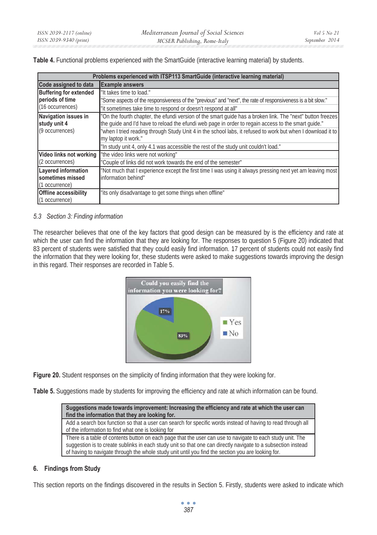|                                                                      | Problems experienced with ITSP113 SmartGuide (interactive learning material)                                                                                                                                                                                                                                                                                                                                                                    |
|----------------------------------------------------------------------|-------------------------------------------------------------------------------------------------------------------------------------------------------------------------------------------------------------------------------------------------------------------------------------------------------------------------------------------------------------------------------------------------------------------------------------------------|
| Code assigned to data                                                | <b>Example answers</b>                                                                                                                                                                                                                                                                                                                                                                                                                          |
| <b>Buffering for extended</b><br>periods of time<br>(16 occurrences) | "It takes time to load."<br>"Some aspects of the responsiveness of the "previous" and "next", the rate of responsiveness is a bit slow."<br>"it sometimes take time to respond or doesn't respond at all"                                                                                                                                                                                                                                       |
| <b>Navigation issues in</b><br>study unit 4<br>(9 occurrences)       | "On the fourth chapter, the efundi version of the smart quide has a broken link. The "next" button freezes<br>the guide and I'd have to reload the efundi web page in order to regain access to the smart quide."<br>"when I tried reading through Study Unit 4 in the school labs, it refused to work but when I download it to<br>my laptop it work."<br>"In study unit 4, only 4.1 was accessible the rest of the study unit couldn't load." |
| Video links not working<br>(2 occurrences)                           | "the video links were not working"<br>"Couple of links did not work towards the end of the semester"                                                                                                                                                                                                                                                                                                                                            |
| Layered information<br>sometimes missed<br>(1 occurrence)            | "Not much that I experience except the first time I was using it always pressing next yet am leaving most<br>information behind"                                                                                                                                                                                                                                                                                                                |
| <b>Offline accessibility</b><br>(1 occurrence)                       | "its only disadvantage to get some things when offline"                                                                                                                                                                                                                                                                                                                                                                                         |

**Table 4.** Functional problems experienced with the SmartGuide (interactive learning material) by students.

### *5.3 Section 3: Finding information*

The researcher believes that one of the key factors that good design can be measured by is the efficiency and rate at which the user can find the information that they are looking for. The responses to question 5 (Figure 20) indicated that 83 percent of students were satisfied that they could easily find information. 17 percent of students could not easily find the information that they were looking for, these students were asked to make suggestions towards improving the design in this regard. Their responses are recorded in Table 5.



**Figure 20.** Student responses on the simplicity of finding information that they were looking for.

**Table 5.** Suggestions made by students for improving the efficiency and rate at which information can be found.

**Suggestions made towards improvement: Increasing the efficiency and rate at which the user can find the information that they are looking for.**  Add a search box function so that a user can search for specific words instead of having to read through all of the information to find what one is looking for There is a table of contents button on each page that the user can use to navigate to each study unit. The suggestion is to create sublinks in each study unit so that one can directly navigate to a subsection instead of having to navigate through the whole study unit until you find the section you are looking for.

### **6. Findings from Study**

This section reports on the findings discovered in the results in Section 5. Firstly, students were asked to indicate which

 $\bullet$   $\bullet$   $\bullet$ *387*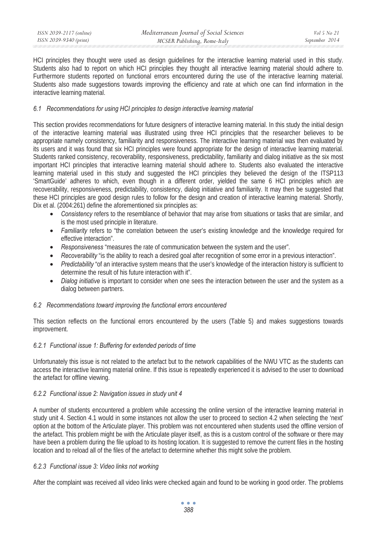| ISSN 2039-2117 (online) | Mediterranean Journal of Social Sciences | Vol 5 No 21    |
|-------------------------|------------------------------------------|----------------|
| ISSN 2039-9340 (print)  | MCSER Publishing, Rome-Italy             | September 2014 |

HCI principles they thought were used as design guidelines for the interactive learning material used in this study. Students also had to report on which HCI principles they thought all interactive learning material should adhere to. Furthermore students reported on functional errors encountered during the use of the interactive learning material. Students also made suggestions towards improving the efficiency and rate at which one can find information in the interactive learning material.

### *6.1 Recommendations for using HCI principles to design interactive learning material*

This section provides recommendations for future designers of interactive learning material. In this study the initial design of the interactive learning material was illustrated using three HCI principles that the researcher believes to be appropriate namely consistency, familiarity and responsiveness. The interactive learning material was then evaluated by its users and it was found that six HCI principles were found appropriate for the design of interactive learning material. Students ranked consistency, recoverability, responsiveness, predictability, familiarity and dialog initiative as the six most important HCI principles that interactive learning material should adhere to. Students also evaluated the interactive learning material used in this study and suggested the HCI principles they believed the design of the ITSP113 'SmartGuide' adheres to which, even though in a different order, yielded the same 6 HCI principles which are recoverability, responsiveness, predictability, consistency, dialog initiative and familiarity. It may then be suggested that these HCI principles are good design rules to follow for the design and creation of interactive learning material. Shortly, Dix et al. (2004:261) define the aforementioned six principles as:

- *Consistency* refers to the resemblance of behavior that may arise from situations or tasks that are similar, and is the most used principle in literature.
- *Familiarity* refers to "the correlation between the user's existing knowledge and the knowledge required for effective interaction".
- *Responsiveness* "measures the rate of communication between the system and the user".
- *Recoverability* "is the ability to reach a desired goal after recognition of some error in a previous interaction".
- *Predictability* "of an interactive system means that the user's knowledge of the interaction history is sufficient to determine the result of his future interaction with it".
- *Dialog initiative* is important to consider when one sees the interaction between the user and the system as a dialog between partners.

### *6.2 Recommendations toward improving the functional errors encountered*

This section reflects on the functional errors encountered by the users (Table 5) and makes suggestions towards improvement.

### *6.2.1 Functional issue 1: Buffering for extended periods of time*

Unfortunately this issue is not related to the artefact but to the network capabilities of the NWU VTC as the students can access the interactive learning material online. If this issue is repeatedly experienced it is advised to the user to download the artefact for offline viewing.

### *6.2.2 Functional issue 2: Navigation issues in study unit 4*

A number of students encountered a problem while accessing the online version of the interactive learning material in study unit 4. Section 4.1 would in some instances not allow the user to proceed to section 4.2 when selecting the 'next' option at the bottom of the Articulate player. This problem was not encountered when students used the offline version of the artefact. This problem might be with the Articulate player itself, as this is a custom control of the software or there may have been a problem during the file upload to its hosting location. It is suggested to remove the current files in the hosting location and to reload all of the files of the artefact to determine whether this might solve the problem.

### *6.2.3 Functional issue 3: Video links not working*

After the complaint was received all video links were checked again and found to be working in good order. The problems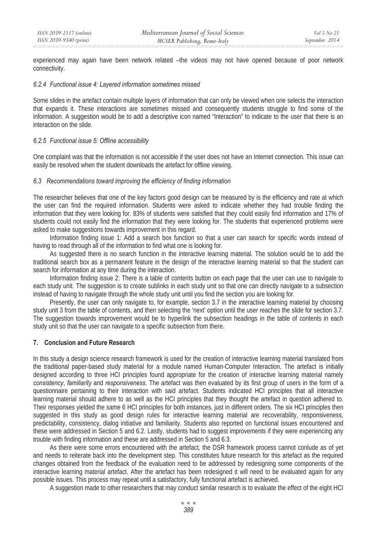experienced may again have been network related –the videos may not have opened because of poor network connectivity.

#### *6.2.4 Functional issue 4: Layered information sometimes missed*

Some slides in the artefact contain multiple layers of information that can only be viewed when one selects the interaction that expands it. These interactions are sometimes missed and consequently students struggle to find some of the information. A suggestion would be to add a descriptive icon named "Interaction" to indicate to the user that there is an interaction on the slide.

### *6.2.5 Functional issue 5: Offline accessibility*

One complaint was that the information is not accessible if the user does not have an Internet connection. This issue can easily be resolved when the student downloads the artefact for offline viewing.

### *6.3 Recommendations toward improving the efficiency of finding information*

The researcher believes that one of the key factors good design can be measured by is the efficiency and rate at which the user can find the required information. Students were asked to indicate whether they had trouble finding the information that they were looking for. 83% of students were satisfied that they could easily find information and 17% of students could not easily find the information that they were looking for. The students that experienced problems were asked to make suggestions towards improvement in this regard.

Information finding issue 1: Add a search box function so that a user can search for specific words instead of having to read through all of the information to find what one is looking for.

As suggested there is no search function in the interactive learning material. The solution would be to add the traditional search box as a permanent feature in the design of the interactive learning material so that the student can search for information at any time during the interaction.

Information finding issue 2: There is a table of contents button on each page that the user can use to navigate to each study unit. The suggestion is to create sublinks in each study unit so that one can directly navigate to a subsection instead of having to navigate through the whole study unit until you find the section you are looking for.

Presently, the user can only navigate to, for example, section 3.7 in the interactive learning material by choosing study unit 3 from the table of contents, and then selecting the 'next' option until the user reaches the slide for section 3.7. The suggestion towards improvement would be to hyperlink the subsection headings in the table of contents in each study unit so that the user can navigate to a specific subsection from there.

### **7. Conclusion and Future Research**

In this study a design science research framework is used for the creation of interactive learning material translated from the traditional paper-based study material for a module named Human-Computer Interaction. The artefact is initially designed according to three HCI principles found appropriate for the creation of interactive learning material namely *consistency*, *familiarity* and *responsiveness*. The artefact was then evaluated by its first group of users in the form of a questionnaire pertaining to their interaction with said artefact. Students indicated HCI principles that all interactive learning material should adhere to as well as the HCI principles that they thought the artefact in question adhered to. Their responses yielded the same 6 HCI principles for both instances, just in different orders. The six HCI principles then suggested in this study as good design rules for interactive learning material are recoverability, responsiveness, predictability, consistency, dialog initiative and familiarity. Students also reported on functional issues encountered and these were addressed in Section 5 and 6.2. Lastly, students had to suggest improvements if they were experiencing any trouble with finding information and these are addressed in Section 5 and 6.3.

As there were some errors encountered with the artefact, the DSR framework process cannot conlude as of yet and needs to reiterate back into the development step. This constitutes future research for this artefact as the required changes obtained from the feedback of the evaluation need to be addressed by redesigning some components of the interactive learning material artefact. After the artefact has been redesigned it will need to be evaluated again for any possible issues. This process may repeat until a satisfactory, fully functional artefact is achieved.

A suggestion made to other researchers that may conduct similar research is to evaluate the effect of the eight HCI